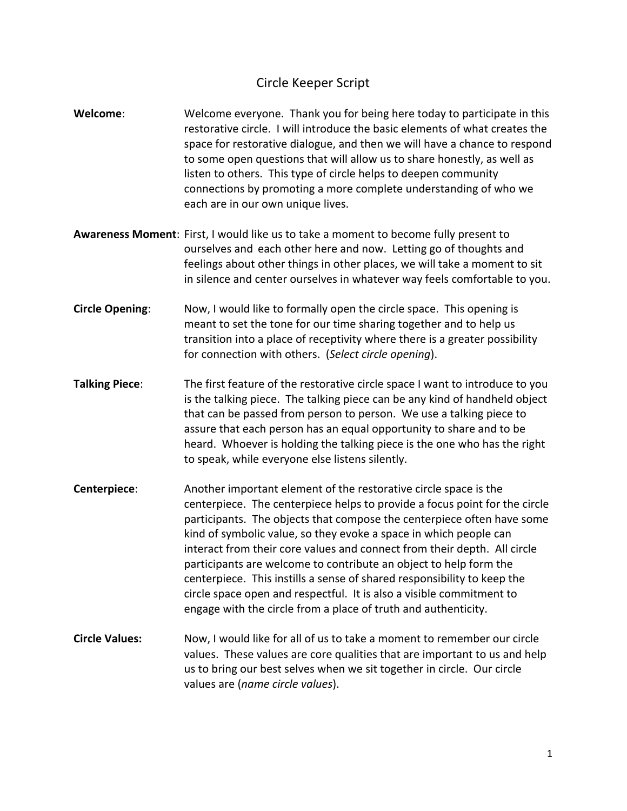## Circle Keeper Script

- **Welcome:** Welcome everyone. Thank you for being here today to participate in this restorative circle. I will introduce the basic elements of what creates the space for restorative dialogue, and then we will have a chance to respond to some open questions that will allow us to share honestly, as well as listen to others. This type of circle helps to deepen community connections by promoting a more complete understanding of who we each are in our own unique lives.
- **Awareness Moment:** First, I would like us to take a moment to become fully present to ourselves and each other here and now. Letting go of thoughts and feelings about other things in other places, we will take a moment to sit in silence and center ourselves in whatever way feels comfortable to you.
- **Circle Opening:** Now, I would like to formally open the circle space. This opening is meant to set the tone for our time sharing together and to help us transition into a place of receptivity where there is a greater possibility for connection with others. (Select circle opening).
- **Talking Piece:** The first feature of the restorative circle space I want to introduce to you is the talking piece. The talking piece can be any kind of handheld object that can be passed from person to person. We use a talking piece to assure that each person has an equal opportunity to share and to be heard. Whoever is holding the talking piece is the one who has the right to speak, while everyone else listens silently.
- **Centerpiece:** Another important element of the restorative circle space is the centerpiece. The centerpiece helps to provide a focus point for the circle participants. The objects that compose the centerpiece often have some kind of symbolic value, so they evoke a space in which people can interact from their core values and connect from their depth. All circle participants are welcome to contribute an object to help form the centerpiece. This instills a sense of shared responsibility to keep the circle space open and respectful. It is also a visible commitment to engage with the circle from a place of truth and authenticity.
- **Circle Values:** Now, I would like for all of us to take a moment to remember our circle values. These values are core qualities that are important to us and help us to bring our best selves when we sit together in circle. Our circle values are (*name circle values*).